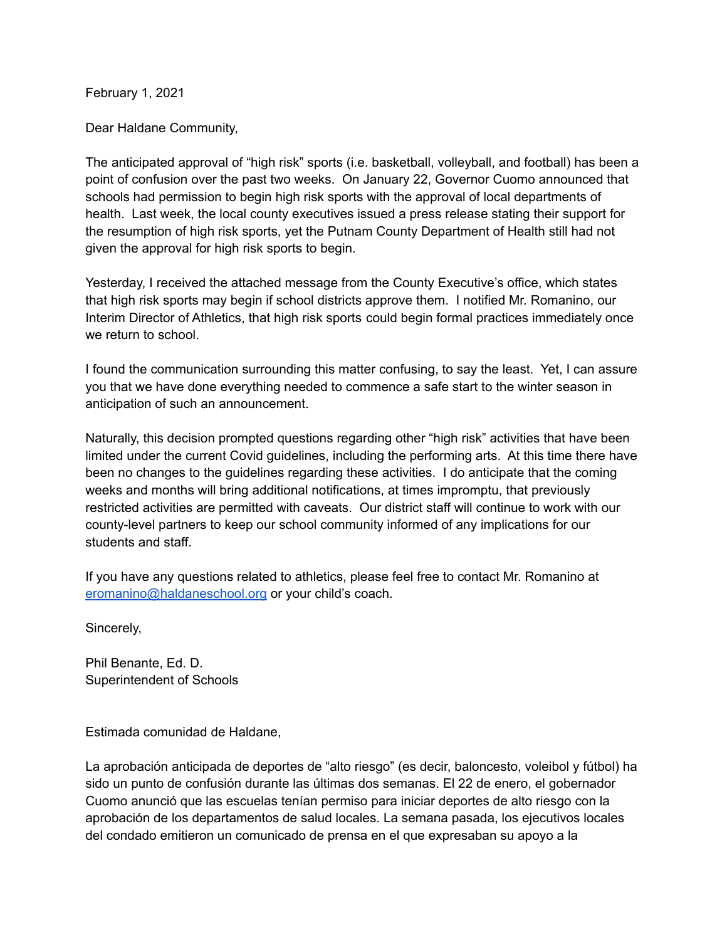February 1, 2021

Dear Haldane Community,

The anticipated approval of "high risk" sports (i.e. basketball, volleyball, and football) has been a point of confusion over the past two weeks. On January 22, Governor Cuomo announced that schools had permission to begin high risk sports with the approval of local departments of health. Last week, the local county executives issued a press release stating their support for the resumption of high risk sports, yet the Putnam County Department of Health still had not given the approval for high risk sports to begin.

Yesterday, I received the attached message from the County Executive's office, which states that high risk sports may begin if school districts approve them. I notified Mr. Romanino, our Interim Director of Athletics, that high risk sports could begin formal practices immediately once we return to school.

I found the communication surrounding this matter confusing, to say the least. Yet, I can assure you that we have done everything needed to commence a safe start to the winter season in anticipation of such an announcement.

Naturally, this decision prompted questions regarding other "high risk" activities that have been limited under the current Covid guidelines, including the performing arts. At this time there have been no changes to the guidelines regarding these activities. I do anticipate that the coming weeks and months will bring additional notifications, at times impromptu, that previously restricted activities are permitted with caveats. Our district staff will continue to work with our county-level partners to keep our school community informed of any implications for our students and staff.

If you have any questions related to athletics, please feel free to contact Mr. Romanino at [eromanino@haldaneschool.org](mailto:eromanino@haldaneschool.org) or your child's coach.

Sincerely,

Phil Benante, Ed. D. Superintendent of Schools

Estimada comunidad de Haldane,

La aprobación anticipada de deportes de "alto riesgo" (es decir, baloncesto, voleibol y fútbol) ha sido un punto de confusión durante las últimas dos semanas. El 22 de enero, el gobernador Cuomo anunció que las escuelas tenían permiso para iniciar deportes de alto riesgo con la aprobación de los departamentos de salud locales. La semana pasada, los ejecutivos locales del condado emitieron un comunicado de prensa en el que expresaban su apoyo a la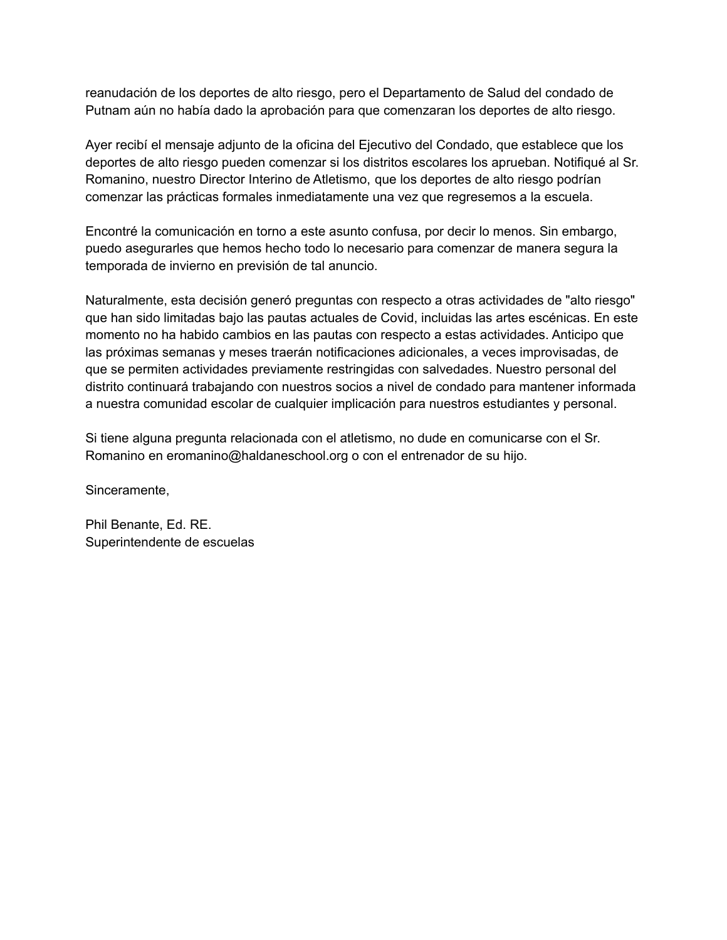reanudación de los deportes de alto riesgo, pero el Departamento de Salud del condado de Putnam aún no había dado la aprobación para que comenzaran los deportes de alto riesgo.

Ayer recibí el mensaje adjunto de la oficina del Ejecutivo del Condado, que establece que los deportes de alto riesgo pueden comenzar si los distritos escolares los aprueban. Notifiqué al Sr. Romanino, nuestro Director Interino de Atletismo, que los deportes de alto riesgo podrían comenzar las prácticas formales inmediatamente una vez que regresemos a la escuela.

Encontré la comunicación en torno a este asunto confusa, por decir lo menos. Sin embargo, puedo asegurarles que hemos hecho todo lo necesario para comenzar de manera segura la temporada de invierno en previsión de tal anuncio.

Naturalmente, esta decisión generó preguntas con respecto a otras actividades de "alto riesgo" que han sido limitadas bajo las pautas actuales de Covid, incluidas las artes escénicas. En este momento no ha habido cambios en las pautas con respecto a estas actividades. Anticipo que las próximas semanas y meses traerán notificaciones adicionales, a veces improvisadas, de que se permiten actividades previamente restringidas con salvedades. Nuestro personal del distrito continuará trabajando con nuestros socios a nivel de condado para mantener informada a nuestra comunidad escolar de cualquier implicación para nuestros estudiantes y personal.

Si tiene alguna pregunta relacionada con el atletismo, no dude en comunicarse con el Sr. Romanino en eromanino@haldaneschool.org o con el entrenador de su hijo.

Sinceramente,

Phil Benante, Ed. RE. Superintendente de escuelas